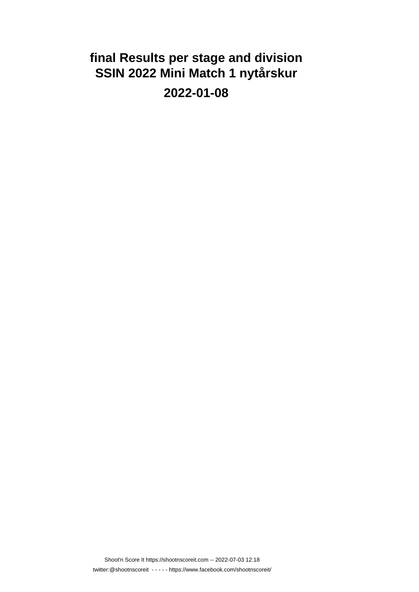# **final Results per stage and division SSIN 2022 Mini Match 1 nytårskur 2022-01-08**

Shoot'n Score It https://shootnscoreit.com -- 2022-07-03 12:18 twitter:@shootnscoreit - - - - - https://www.facebook.com/shootnscoreit/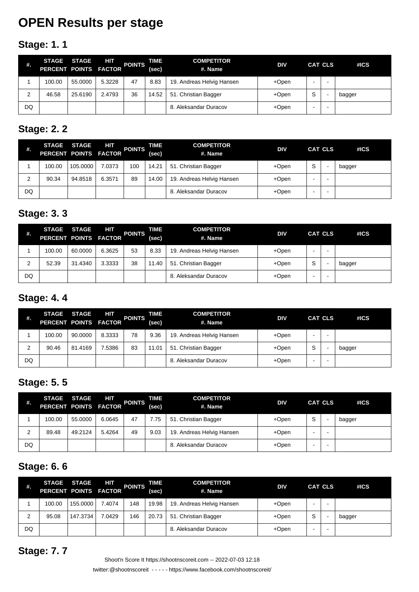# **OPEN Results per stage**

## **Stage: 1. 1**

| #. | PERCENT POINTS FACTOR | STAGE STAGE | HIT    | <b>POINTS</b> | TIME<br>(sec) | <b>COMPETITOR</b><br>#. Name | <b>DIV</b> | <b>CAT CLS</b> | #ICS   |
|----|-----------------------|-------------|--------|---------------|---------------|------------------------------|------------|----------------|--------|
|    | 100.00                | 55,0000     | 5.3228 | 47            | 8.83          | 19. Andreas Helvig Hansen    | +Open      |                |        |
| ◠  | 46.58                 | 25.6190     | 2.4793 | 36            | 14.52         | 51. Christian Bagger         | +Open      | S              | bagger |
| DQ |                       |             |        |               |               | 8. Aleksandar Duracov        | +Open      | -              |        |

### **Stage: 2. 2**

| ₩. | PERCENT POINTS FACTOR | STAGE STAGE | HIT    | <b>POINTS</b> | TIME<br>(sec) | <b>COMPETITOR</b><br>#. Name | <b>DIV</b> |   | <b>CAT CLS</b> | #ICS   |
|----|-----------------------|-------------|--------|---------------|---------------|------------------------------|------------|---|----------------|--------|
|    | 100.00                | 105.0000    | 7.0373 | 100           | 14.21         | 51. Christian Bagger         | +Open      | S |                | bagger |
| ⌒  | 90.34                 | 94.8518     | 6.3571 | 89            | 14.00         | 19. Andreas Helvig Hansen    | +Open      |   |                |        |
| DQ |                       |             |        |               |               | 8. Aleksandar Duracov        | +Open      | ۰ |                |        |

### **Stage: 3. 3**

| #. | <b>STAGE</b><br>PERCENT POINTS FACTOR | <b>STAGE</b> | HIT    | <b>POINTS</b> | <b>TIME</b><br>(sec) | <b>COMPETITOR</b><br>#. Name | <b>DIV</b> | <b>CAT CLS</b> | #ICS   |
|----|---------------------------------------|--------------|--------|---------------|----------------------|------------------------------|------------|----------------|--------|
|    | 100.00                                | 60.0000      | 6.3625 | 53            | 8.33                 | 19. Andreas Helvig Hansen    | +Open      | -              |        |
| ົ  | 52.39                                 | 31.4340      | 3.3333 | 38            | 11.40                | 51. Christian Bagger         | +Open      | S              | bagger |
| DQ |                                       |              |        |               |                      | 8. Aleksandar Duracov        | $+$ Open   | ۰              |        |

### **Stage: 4. 4**

| #.     | <b>STAGE</b><br>PERCENT POINTS FACTOR | <b>STAGE</b> | HIT    | <b>POINTS</b> | TIME<br>(sec) | <b>COMPETITOR</b><br>#. Name | <b>DIV</b> |        | <b>CAT CLS</b> | #ICS   |
|--------|---------------------------------------|--------------|--------|---------------|---------------|------------------------------|------------|--------|----------------|--------|
|        | 100.00                                | 90.0000      | 8.3333 | 78            | 9.36          | 19. Andreas Helvig Hansen    | +Open      |        |                |        |
| C<br>∼ | 90.46                                 | 81.4169      | 7.5386 | 83            | 11.01         | 51. Christian Bagger         | +Open      | c<br>C |                | bagger |
| DQ     |                                       |              |        |               |               | 8. Aleksandar Duracov        | +Open      | -      |                |        |

### **Stage: 5. 5**

| #. | PERCENT POINTS FACTOR | STAGE STAGE | HIT    | <b>POINTS</b> | TIME<br>(sec) | <b>COMPETITOR</b><br>#. Name | <b>DIV</b> |   | <b>CAT CLS</b> | #ICS   |
|----|-----------------------|-------------|--------|---------------|---------------|------------------------------|------------|---|----------------|--------|
|    | 100.00                | 55.0000     | 6.0645 | 47            | 7.75          | 51. Christian Bagger         | +Open      | S |                | bagger |
| 2  | 89.48                 | 49.2124     | 5.4264 | 49            | 9.03          | 19. Andreas Helvig Hansen    | +Open      |   |                |        |
| DQ |                       |             |        |               |               | 8. Aleksandar Duracov        | +Open      | - |                |        |

### **Stage: 6. 6**

| #. | <b>STAGE</b><br>PERCENT POINTS FACTOR | <b>STAGE</b> | HІТ    | <b>POINTS</b> | TIME<br>(sec) | <b>COMPETITOR</b><br>#. Name | <b>DIV</b> | <b>CAT CLS</b> |   | #ICS   |
|----|---------------------------------------|--------------|--------|---------------|---------------|------------------------------|------------|----------------|---|--------|
|    | 100.00                                | 155,0000     | 7.4074 | 148           | 19.98         | 19. Andreas Helvig Hansen    | +Open      |                |   |        |
| っ  | 95.08                                 | 147.3734     | 7.0429 | 146           | 20.73         | 51. Christian Bagger         | +Open      | S              | - | bagger |
| DQ |                                       |              |        |               |               | 8. Aleksandar Duracov        | +Open      |                |   |        |

#### **Stage: 7. 7**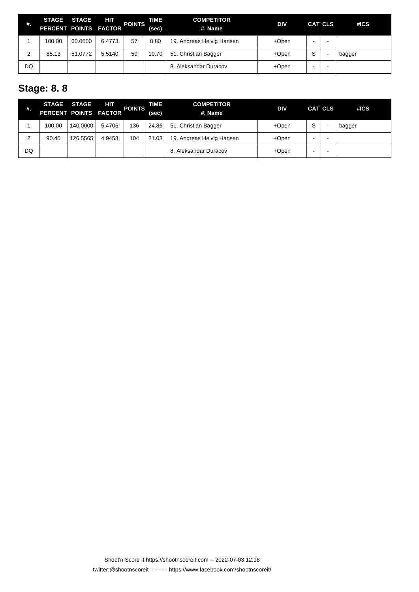| #. | PERCENT POINTS FACTOR | STAGE STAGE | HIT    | <b>POINTS</b> | TIME<br>(sec) | <b>COMPETITOR</b><br>#. Name | <b>DIV</b> | CAT CLS |   | #ICS   |
|----|-----------------------|-------------|--------|---------------|---------------|------------------------------|------------|---------|---|--------|
|    | 100.00                | 60.0000     | 6.4773 | 57            | 8.80          | 19. Andreas Helvig Hansen    | +Open      | -       | - |        |
|    | 85.13                 | 51.0772     | 5.5140 | 59            | 10.70         | 51. Christian Bagger         | +Open      | S       | - | bagger |
| DQ |                       |             |        |               |               | 8. Aleksandar Duracov        | +Open      | -       | - |        |

## **Stage: 8. 8**

| #. |        | STAGE STAGE<br>PERCENT POINTS FACTOR | <b>HIT</b> | <b>POINTS</b> | TIME<br>(sec) | <b>COMPETITOR</b><br>#. Name | <b>DIV</b> |   | <b>CAT CLS</b> | #ICS   |
|----|--------|--------------------------------------|------------|---------------|---------------|------------------------------|------------|---|----------------|--------|
|    | 100.00 | 140.0000                             | 5.4706     | 136           | 24.86         | 51. Christian Bagger         | +Open      | S |                | bagger |
| 2  | 90.40  | 126.5565                             | 4.9453     | 104           | 21.03         | 19. Andreas Helvig Hansen    | +Open      | - |                |        |
| DQ |        |                                      |            |               |               | 8. Aleksandar Duracov        | +Open      |   |                |        |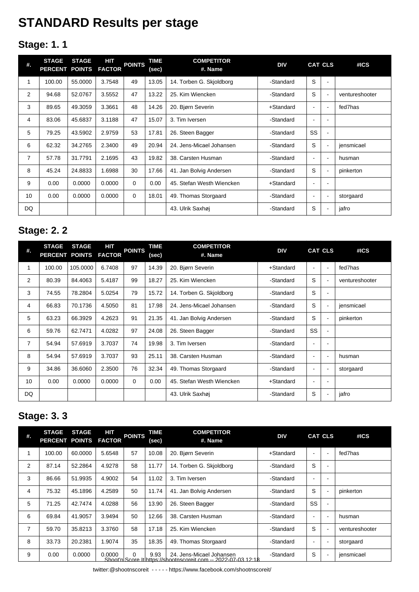# **STANDARD Results per stage**

## **Stage: 1. 1**

| #.             | <b>STAGE</b><br>PERCENT POINTS | <b>STAGE</b> | HIT<br><b>FACTOR</b> | <b>POINTS</b> | TIME<br>(sec) | <b>COMPETITOR</b><br>#. Name | <b>DIV</b> |                | <b>CAT CLS</b> | #ICS           |
|----------------|--------------------------------|--------------|----------------------|---------------|---------------|------------------------------|------------|----------------|----------------|----------------|
| 1              | 100.00                         | 55.0000      | 3.7548               | 49            | 13.05         | 14. Torben G. Skjoldborg     | -Standard  | S              | $\blacksquare$ |                |
| 2              | 94.68                          | 52.0767      | 3.5552               | 47            | 13.22         | 25. Kim Wiencken             | -Standard  | S              | $\blacksquare$ | ventureshooter |
| 3              | 89.65                          | 49.3059      | 3.3661               | 48            | 14.26         | 20. Bjørn Severin            | +Standard  | $\blacksquare$ | $\blacksquare$ | fed7has        |
| 4              | 83.06                          | 45.6837      | 3.1188               | 47            | 15.07         | 3. Tim Iversen               | -Standard  |                |                |                |
| 5              | 79.25                          | 43.5902      | 2.9759               | 53            | 17.81         | 26. Steen Bagger             | -Standard  | <b>SS</b>      | $\blacksquare$ |                |
| 6              | 62.32                          | 34.2765      | 2.3400               | 49            | 20.94         | 24. Jens-Micael Johansen     | -Standard  | S              | $\blacksquare$ | jensmicael     |
| $\overline{7}$ | 57.78                          | 31.7791      | 2.1695               | 43            | 19.82         | 38. Carsten Husman           | -Standard  | $\blacksquare$ | $\blacksquare$ | husman         |
| 8              | 45.24                          | 24.8833      | 1.6988               | 30            | 17.66         | 41. Jan Bolvig Andersen      | -Standard  | S              | $\blacksquare$ | pinkerton      |
| 9              | 0.00                           | 0.0000       | 0.0000               | 0             | 0.00          | 45. Stefan Westh Wiencken    | +Standard  | $\blacksquare$ |                |                |
| 10             | 0.00                           | 0.0000       | 0.0000               | 0             | 18.01         | 49. Thomas Storgaard         | -Standard  |                |                | storgaard      |
| DQ             |                                |              |                      |               |               | 43. Ulrik Saxhøj             | -Standard  | S              | $\blacksquare$ | jafro          |

## **Stage: 2. 2**

| #. | <b>STAGE</b><br>PERCENT POINTS | <b>STAGE</b> | HІТ<br><b>FACTOR</b> | <b>POINTS</b> | TIME<br>(sec) | <b>COMPETITOR</b><br>#. Name | <b>DIV</b> |                          | <b>CAT CLS</b> | #ICS           |
|----|--------------------------------|--------------|----------------------|---------------|---------------|------------------------------|------------|--------------------------|----------------|----------------|
| 1  | 100.00                         | 105.0000     | 6.7408               | 97            | 14.39         | 20. Bjørn Severin            | +Standard  | $\blacksquare$           | $\blacksquare$ | fed7has        |
| 2  | 80.39                          | 84.4063      | 5.4187               | 99            | 18.27         | 25. Kim Wiencken             | -Standard  | S                        | $\blacksquare$ | ventureshooter |
| 3  | 74.55                          | 78.2804      | 5.0254               | 79            | 15.72         | 14. Torben G. Skjoldborg     | -Standard  | S                        | ۰              |                |
| 4  | 66.83                          | 70.1736      | 4.5050               | 81            | 17.98         | 24. Jens-Micael Johansen     | -Standard  | S                        | ٠              | jensmicael     |
| 5  | 63.23                          | 66.3929      | 4.2623               | 91            | 21.35         | 41. Jan Bolvig Andersen      | -Standard  | S                        | $\blacksquare$ | pinkerton      |
| 6  | 59.76                          | 62.7471      | 4.0282               | 97            | 24.08         | 26. Steen Bagger             | -Standard  | SS                       | ٠              |                |
| 7  | 54.94                          | 57.6919      | 3.7037               | 74            | 19.98         | 3. Tim Iversen               | -Standard  | $\overline{\phantom{a}}$ | ۰              |                |
| 8  | 54.94                          | 57.6919      | 3.7037               | 93            | 25.11         | 38. Carsten Husman           | -Standard  | $\blacksquare$           | ٠              | husman         |
| 9  | 34.86                          | 36.6060      | 2.3500               | 76            | 32.34         | 49. Thomas Storgaard         | -Standard  | $\blacksquare$           | ٠              | storgaard      |
| 10 | 0.00                           | 0.0000       | 0.0000               | 0             | 0.00          | 45. Stefan Westh Wiencken    | +Standard  | $\blacksquare$           | ۰              |                |
| DQ |                                |              |                      |               |               | 43. Ulrik Saxhøj             | -Standard  | S                        | ۰              | jafro          |

## **Stage: 3. 3**

| #. | <b>STAGE</b><br>PERCENT POINTS FACTOR | <b>STAGE</b> | HІТ    | <b>POINTS</b> | TIME<br>(sec) | <b>COMPETITOR</b><br>#. Name                                                              | <b>DIV</b> |                          | <b>CAT CLS</b>           | #ICS           |
|----|---------------------------------------|--------------|--------|---------------|---------------|-------------------------------------------------------------------------------------------|------------|--------------------------|--------------------------|----------------|
|    | 100.00                                | 60.0000      | 5.6548 | 57            | 10.08         | 20. Bjørn Severin                                                                         | +Standard  | $\overline{\phantom{0}}$ | $\blacksquare$           | fed7has        |
| 2  | 87.14                                 | 52.2864      | 4.9278 | 58            | 11.77         | 14. Torben G. Skioldborg                                                                  | -Standard  | S                        | $\overline{\phantom{a}}$ |                |
| 3  | 86.66                                 | 51.9935      | 4.9002 | 54            | 11.02         | 3. Tim Iversen                                                                            | -Standard  |                          | $\blacksquare$           |                |
| 4  | 75.32                                 | 45.1896      | 4.2589 | 50            | 11.74         | 41. Jan Bolvig Andersen                                                                   | -Standard  | S                        | $\blacksquare$           | pinkerton      |
| 5  | 71.25                                 | 42.7474      | 4.0288 | 56            | 13.90         | 26. Steen Bagger                                                                          | -Standard  | <b>SS</b>                | $\blacksquare$           |                |
| 6  | 69.84                                 | 41.9057      | 3.9494 | 50            | 12.66         | 38. Carsten Husman                                                                        | -Standard  | $\overline{\phantom{0}}$ | $\overline{\phantom{0}}$ | husman         |
| 7  | 59.70                                 | 35.8213      | 3.3760 | 58            | 17.18         | 25. Kim Wiencken                                                                          | -Standard  | S                        | $\overline{a}$           | ventureshooter |
| 8  | 33.73                                 | 20.2381      | 1.9074 | 35            | 18.35         | 49. Thomas Storgaard                                                                      | -Standard  | $\overline{\phantom{0}}$ | $\blacksquare$           | storgaard      |
| 9  | 0.00                                  | 0.0000       | 0.0000 | $\Omega$      | 9.93          | 24. Jens-Micael Johansen<br>Shoot'n Score Ithttps://shootnscoreit.com -- 2022-07-03 12:18 | -Standard  | S                        | $\blacksquare$           | jensmicael     |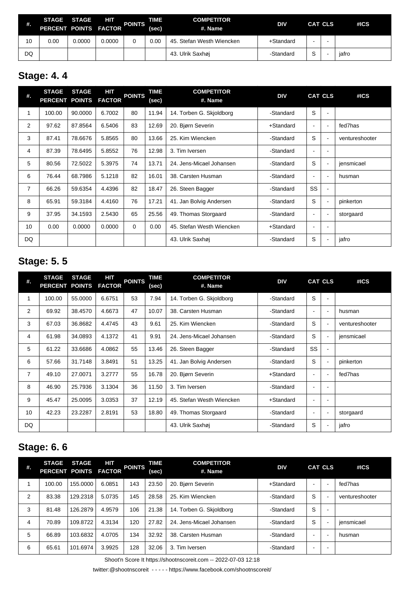| #. | <b>STAGE STAGE</b><br>PERCENT POINTS FACTOR |        | HП     | <b>POINTS</b> | TIME<br>(sec) | <b>COMPETITOR</b><br>#. Name | <b>DIV</b> | CAT CLS           |   | #ICS  |
|----|---------------------------------------------|--------|--------|---------------|---------------|------------------------------|------------|-------------------|---|-------|
| 10 | 0.00                                        | 0.0000 | 0.0000 |               | 0.00          | 45. Stefan Westh Wiencken    | +Standard  |                   |   |       |
| DQ |                                             |        |        |               |               | 43. Ulrik Saxhøj             | -Standard  | $\mathbf{C}$<br>P | - | jafro |

## **Stage: 4. 4**

| #.             | <b>STAGE</b><br>PERCENT POINTS | <b>STAGE</b> | HIT<br><b>FACTOR</b> | <b>POINTS</b> | TIME<br>(sec) | <b>COMPETITOR</b><br>#. Name | <b>DIV</b> |                          | <b>CAT CLS</b>           | #ICS           |
|----------------|--------------------------------|--------------|----------------------|---------------|---------------|------------------------------|------------|--------------------------|--------------------------|----------------|
| 1              | 100.00                         | 90.0000      | 6.7002               | 80            | 11.94         | 14. Torben G. Skioldborg     | -Standard  | S                        | $\blacksquare$           |                |
| 2              | 97.62                          | 87.8564      | 6.5406               | 83            | 12.69         | 20. Bjørn Severin            | +Standard  | $\blacksquare$           | $\sim$                   | fed7has        |
| 3              | 87.41                          | 78.6676      | 5.8565               | 80            | 13.66         | 25. Kim Wiencken             | -Standard  | S                        | $\blacksquare$           | ventureshooter |
| 4              | 87.39                          | 78.6495      | 5.8552               | 76            | 12.98         | 3. Tim Iversen               | -Standard  | $\overline{\phantom{0}}$ |                          |                |
| 5              | 80.56                          | 72.5022      | 5.3975               | 74            | 13.71         | 24. Jens-Micael Johansen     | -Standard  | S                        | $\blacksquare$           | jensmicael     |
| 6              | 76.44                          | 68.7986      | 5.1218               | 82            | 16.01         | 38. Carsten Husman           | -Standard  |                          | ۰                        | husman         |
| $\overline{7}$ | 66.26                          | 59.6354      | 4.4396               | 82            | 18.47         | 26. Steen Bagger             | -Standard  | SS                       | $\blacksquare$           |                |
| 8              | 65.91                          | 59.3184      | 4.4160               | 76            | 17.21         | 41. Jan Bolvig Andersen      | -Standard  | S                        | $\blacksquare$           | pinkerton      |
| 9              | 37.95                          | 34.1593      | 2.5430               | 65            | 25.56         | 49. Thomas Storgaard         | -Standard  |                          | $\blacksquare$           | storgaard      |
| 10             | 0.00                           | 0.0000       | 0.0000               | $\Omega$      | 0.00          | 45. Stefan Westh Wiencken    | +Standard  | $\blacksquare$           | $\overline{\phantom{a}}$ |                |
| DQ             |                                |              |                      |               |               | 43. Ulrik Saxhøj             | -Standard  | S                        |                          | jafro          |

## **Stage: 5. 5**

| #.             | <b>STAGE</b><br>PERCENT POINTS | <b>STAGE</b> | HIT<br><b>FACTOR</b> | <b>POINTS</b> | <b>TIME</b><br>(sec) | <b>COMPETITOR</b><br>#. Name | <b>DIV</b> |                          | <b>CAT CLS</b>           | #ICS           |
|----------------|--------------------------------|--------------|----------------------|---------------|----------------------|------------------------------|------------|--------------------------|--------------------------|----------------|
| 1              | 100.00                         | 55.0000      | 6.6751               | 53            | 7.94                 | 14. Torben G. Skjoldborg     | -Standard  | S                        | $\blacksquare$           |                |
| $\overline{2}$ | 69.92                          | 38.4570      | 4.6673               | 47            | 10.07                | 38. Carsten Husman           | -Standard  | $\blacksquare$           | $\blacksquare$           | husman         |
| 3              | 67.03                          | 36.8682      | 4.4745               | 43            | 9.61                 | 25. Kim Wiencken             | -Standard  | S                        | $\blacksquare$           | ventureshooter |
| 4              | 61.98                          | 34.0893      | 4.1372               | 41            | 9.91                 | 24. Jens-Micael Johansen     | -Standard  | S                        | $\blacksquare$           | jensmicael     |
| 5              | 61.22                          | 33.6686      | 4.0862               | 55            | 13.46                | 26. Steen Bagger             | -Standard  | SS                       | $\blacksquare$           |                |
| 6              | 57.66                          | 31.7148      | 3.8491               | 51            | 13.25                | 41. Jan Bolvig Andersen      | -Standard  | S                        | $\blacksquare$           | pinkerton      |
| 7              | 49.10                          | 27.0071      | 3.2777               | 55            | 16.78                | 20. Bjørn Severin            | +Standard  | $\blacksquare$           | $\blacksquare$           | fed7has        |
| 8              | 46.90                          | 25.7936      | 3.1304               | 36            | 11.50                | 3. Tim Iversen               | -Standard  | $\overline{\phantom{0}}$ | $\overline{\phantom{a}}$ |                |
| 9              | 45.47                          | 25.0095      | 3.0353               | 37            | 12.19                | 45. Stefan Westh Wiencken    | +Standard  | ٠                        | $\blacksquare$           |                |
| 10             | 42.23                          | 23.2287      | 2.8191               | 53            | 18.80                | 49. Thomas Storgaard         | -Standard  | $\blacksquare$           | $\overline{\phantom{a}}$ | storgaard      |
| DQ             |                                |              |                      |               |                      | 43. Ulrik Saxhøj             | -Standard  | S                        | ۰                        | jafro          |

## **Stage: 6. 6**

| #. | <b>STAGE</b><br>PERCENT POINTS FACTOR | <b>STAGE</b> | HIT    | <b>POINTS</b> | TIME<br>(sec) | <b>COMPETITOR</b><br>#. Name | <b>DIV</b>   |                          | <b>CAT CLS</b>           | #ICS           |
|----|---------------------------------------|--------------|--------|---------------|---------------|------------------------------|--------------|--------------------------|--------------------------|----------------|
|    | 100.00                                | 155.0000     | 6.0851 | 143           | 23.50         | 20. Bjørn Severin            | $+$ Standard | -                        |                          | fed7has        |
| 2  | 83.38                                 | 129.2318     | 5.0735 | 145           | 28.58         | 25. Kim Wiencken             | -Standard    | S                        | ٠                        | ventureshooter |
| 3  | 81.48                                 | 126.2879     | 4.9579 | 106           | 21.38         | 14. Torben G. Skjoldborg     | -Standard    | S                        | $\overline{\phantom{0}}$ |                |
| 4  | 70.89                                 | 109.8722     | 4.3134 | 120           | 27.82         | 24. Jens-Micael Johansen     | -Standard    | S                        |                          | jensmicael     |
| 5  | 66.89                                 | 103.6832     | 4.0705 | 134           | 32.92         | 38. Carsten Husman           | -Standard    |                          |                          | husman         |
| 6  | 65.61                                 | 101.6974     | 3.9925 | 128           | 32.06         | 3. Tim Iversen               | -Standard    | $\overline{\phantom{0}}$ | -                        |                |

Shoot'n Score It https://shootnscoreit.com -- 2022-07-03 12:18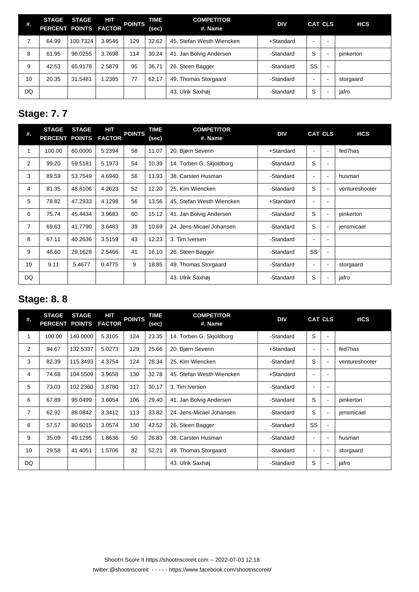| #. | <b>STAGE</b><br>PERCENT POINTS FACTOR | <b>STAGE</b> | 60T    | <b>POINTS</b> | TIME<br>(sec) | <b>COMPETITOR</b><br>#. Name | <b>DIV</b> |                          | <b>CAT CLS</b> | #ICS      |
|----|---------------------------------------|--------------|--------|---------------|---------------|------------------------------|------------|--------------------------|----------------|-----------|
|    | 64.99                                 | 100.7324     | 3.9546 | 129           | 32.62         | 45. Stefan Westh Wiencken    | +Standard  | $\overline{\phantom{0}}$ | -              |           |
| 8  | 61.95                                 | 96.0255      | 3.7698 | 114           | 30.24         | 41. Jan Bolvig Andersen      | -Standard  | S                        | <b>.</b>       | pinkerton |
| 9  | 42.53                                 | 65.9178      | 2.5879 | 95            | 36.71         | 26. Steen Bagger             | -Standard  | SS                       | -              |           |
| 10 | 20.35                                 | 31.5481      | 1.2385 | 77            | 62.17         | 49. Thomas Storgaard         | -Standard  | $\overline{\phantom{0}}$ | -              | storgaard |
| DQ |                                       |              |        |               |               | 43. Ulrik Saxhøj             | -Standard  | S                        | -              | jafro     |

## **Stage: 7. 7**

| #.             | <b>STAGE</b><br><b>PERCENT POINTS</b> | <b>STAGE</b> | HIT<br><b>FACTOR</b> | <b>POINTS</b> | TIME<br>(sec) | <b>COMPETITOR</b><br>#. Name | <b>DIV</b>   |                | <b>CAT CLS</b> | #ICS           |
|----------------|---------------------------------------|--------------|----------------------|---------------|---------------|------------------------------|--------------|----------------|----------------|----------------|
| 1              | 100.00                                | 60.0000      | 5.2394               | 58            | 11.07         | 20. Bjørn Severin            | $+$ Standard |                | $\blacksquare$ | fed7has        |
| $\overline{2}$ | 99.20                                 | 59.5181      | 5.1973               | 54            | 10.39         | 14. Torben G. Skioldborg     | -Standard    | S              | $\sim$         |                |
| 3              | 89.59                                 | 53.7549      | 4.6940               | 56            | 11.93         | 38. Carsten Husman           | -Standard    | $\blacksquare$ | $\blacksquare$ | husman         |
| 4              | 81.35                                 | 48.8106      | 4.2623               | 52            | 12.20         | 25. Kim Wiencken             | -Standard    | S              | $\blacksquare$ | ventureshooter |
| 5              | 78.82                                 | 47.2933      | 4.1298               | 56            | 13.56         | 45. Stefan Westh Wiencken    | $+$ Standard | $\blacksquare$ | $\blacksquare$ |                |
| 6              | 75.74                                 | 45.4434      | 3.9683               | 60            | 15.12         | 41. Jan Bolvig Andersen      | -Standard    | S              | $\blacksquare$ | pinkerton      |
| $\overline{7}$ | 69.63                                 | 41.7790      | 3.6483               | 39            | 10.69         | 24. Jens-Micael Johansen     | -Standard    | S              | $\blacksquare$ | jensmicael     |
| 8              | 67.11                                 | 40.2636      | 3.5159               | 43            | 12.23         | 3. Tim Iversen               | -Standard    | $\blacksquare$ | $\blacksquare$ |                |
| 9              | 48.60                                 | 29.1628      | 2.5466               | 41            | 16.10         | 26. Steen Bagger             | -Standard    | SS             | $\blacksquare$ |                |
| 10             | 9.11                                  | 5.4677       | 0.4775               | 9             | 18.85         | 49. Thomas Storgaard         | -Standard    | $\blacksquare$ | $\blacksquare$ | storgaard      |
| DQ             |                                       |              |                      |               |               | 43. Ulrik Saxhøj             | -Standard    | S              |                | jafro          |

## **Stage: 8. 8**

| #.  | <b>STAGE</b><br><b>PERCENT POINTS</b> | <b>STAGE</b> | HIT<br><b>FACTOR</b> | <b>POINTS</b> | TIME<br>(sec) | <b>COMPETITOR</b><br>#. Name | <b>DIV</b> |                          | <b>CAT CLS</b>           | #ICS           |
|-----|---------------------------------------|--------------|----------------------|---------------|---------------|------------------------------|------------|--------------------------|--------------------------|----------------|
| 1   | 100.00                                | 140.0000     | 5.3105               | 124           | 23.35         | 14. Torben G. Skjoldborg     | -Standard  | S                        | $\blacksquare$           |                |
| 2   | 94.67                                 | 132.5337     | 5.0273               | 129           | 25.66         | 20. Bjørn Severin            | +Standard  | $\blacksquare$           | $\overline{\phantom{a}}$ | fed7has        |
| 3   | 82.39                                 | 115.3493     | 4.3754               | 124           | 28.34         | 25. Kim Wiencken             | -Standard  | S                        | $\blacksquare$           | ventureshooter |
| 4   | 74.68                                 | 104.5509     | 3.9658               | 130           | 32.78         | 45. Stefan Westh Wiencken    | +Standard  | $\overline{\phantom{a}}$ |                          |                |
| 5   | 73.03                                 | 102.2360     | 3.8780               | 117           | 30.17         | 3. Tim Iversen               | -Standard  | $\blacksquare$           |                          |                |
| 6   | 67.89                                 | 95.0499      | 3.6054               | 106           | 29.40         | 41. Jan Bolvig Andersen      | -Standard  | S                        | $\blacksquare$           | pinkerton      |
| 7   | 62.92                                 | 88.0842      | 3.3412               | 113           | 33.82         | 24. Jens-Micael Johansen     | -Standard  | S                        | $\blacksquare$           | jensmicael     |
| 8   | 57.57                                 | 80.6015      | 3.0574               | 130           | 42.52         | 26. Steen Bagger             | -Standard  | SS                       | $\blacksquare$           |                |
| 9   | 35.09                                 | 49.1295      | 1.8636               | 50            | 26.83         | 38. Carsten Husman           | -Standard  | $\blacksquare$           | $\blacksquare$           | husman         |
| 10  | 29.58                                 | 41.4051      | 1.5706               | 82            | 52.21         | 49. Thomas Storgaard         | -Standard  |                          |                          | storgaard      |
| DQ. |                                       |              |                      |               |               | 43. Ulrik Saxhøj             | -Standard  | S                        |                          | jafro          |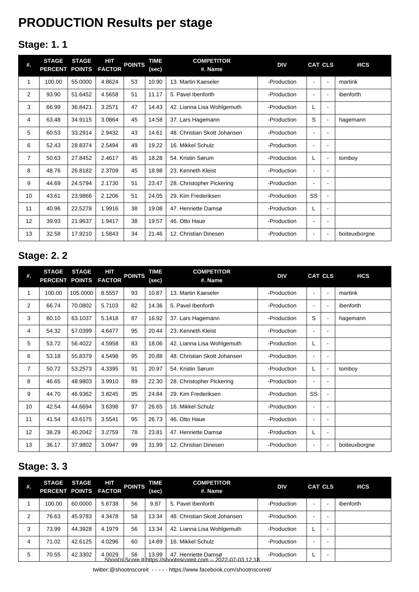# **PRODUCTION Results per stage**

## **Stage: 1. 1**

| #.             | <b>STAGE</b><br>PERCENT POINTS | <b>STAGE</b> | <b>HIT</b><br><b>FACTOR</b> | <b>POINTS</b> | <b>TIME</b><br>(sec) | <b>COMPETITOR</b><br>#. Name | <b>DIV</b>  |                | <b>CAT CLS</b>               | #ICS          |
|----------------|--------------------------------|--------------|-----------------------------|---------------|----------------------|------------------------------|-------------|----------------|------------------------------|---------------|
| 1              | 100.00                         | 55.0000      | 4.8624                      | 53            | 10.90                | 13. Martin Kaeseler          | -Production | $\blacksquare$ | $\sim$                       | martink       |
| $\overline{2}$ | 93.90                          | 51.6452      | 4.5658                      | 51            | 11.17                | 5. Pavel Ibenforth           | -Production | $\blacksquare$ | ٠                            | ibenforth     |
| 3              | 66.99                          | 36.8421      | 3.2571                      | 47            | 14.43                | 42. Lianna Lisa Wohlgemuth   | -Production | L              |                              |               |
| 4              | 63.48                          | 34.9115      | 3.0864                      | 45            | 14.58                | 37. Lars Hagemann            | -Production | S              | $\overline{\phantom{0}}$     | hagemann      |
| 5              | 60.53                          | 33.2914      | 2.9432                      | 43            | 14.61                | 48. Christian Skott Johansen | -Production | $\blacksquare$ | ۰                            |               |
| 6              | 52.43                          | 28.8374      | 2.5494                      | 49            | 19.22                | 16. Mikkel Schulz            | -Production | $\blacksquare$ | ۰                            |               |
| $\overline{7}$ | 50.63                          | 27.8452      | 2.4617                      | 45            | 18.28                | 54. Kristin Sørum            | -Production | L              | $\overline{\phantom{0}}$     | tomboy        |
| 8              | 48.76                          | 26.8182      | 2.3709                      | 45            | 18.98                | 23. Kenneth Kleist           | -Production | $\blacksquare$ |                              |               |
| 9              | 44.69                          | 24.5794      | 2.1730                      | 51            | 23.47                | 28. Christopher Pickering    | -Production | $\blacksquare$ | ۰                            |               |
| 10             | 43.61                          | 23.9866      | 2.1206                      | 51            | 24.05                | 29. Kim Frederiksen          | -Production | SS             | $\qquad \qquad \blacksquare$ |               |
| 11             | 40.96                          | 22.5278      | 1.9916                      | 38            | 19.08                | 47. Henriette Damsø          | -Production | L              | $\blacksquare$               |               |
| 12             | 39.93                          | 21.9637      | 1.9417                      | 38            | 19.57                | 46. Otto Haue                | -Production | $\blacksquare$ | -                            |               |
| 13             | 32.58                          | 17.9210      | 1.5843                      | 34            | 21.46                | 12. Christian Dinesen        | -Production | $\blacksquare$ | $\blacksquare$               | boiteuxborgne |

## **Stage: 2. 2**

| #.             | <b>STAGE</b><br><b>PERCENT</b> | <b>STAGE</b><br><b>POINTS</b> | HІТ<br><b>FACTOR</b> | <b>POINTS</b> | TIME<br>(sec) | <b>COMPETITOR</b><br>#. Name | <b>DIV</b>  |                | <b>CAT CLS</b> | #ICS          |
|----------------|--------------------------------|-------------------------------|----------------------|---------------|---------------|------------------------------|-------------|----------------|----------------|---------------|
| 1              | 100.00                         | 105.0000                      | 8.5557               | 93            | 10.87         | 13. Martin Kaeseler          | -Production |                | $\blacksquare$ | martink       |
| 2              | 66.74                          | 70.0802                       | 5.7103               | 82            | 14.36         | 5. Pavel Ibenforth           | -Production | $\blacksquare$ | $\sim$         | ibenforth     |
| 3              | 60.10                          | 63.1037                       | 5.1418               | 87            | 16.92         | 37. Lars Hagemann            | -Production | S              | $\sim$         | hagemann      |
| 4              | 54.32                          | 57.0399                       | 4.6477               | 95            | 20.44         | 23. Kenneth Kleist           | -Production | ٠              | ۰              |               |
| 5              | 53.72                          | 56.4022                       | 4.5958               | 83            | 18.06         | 42. Lianna Lisa Wohlgemuth   | -Production | L              | ۰              |               |
| 6              | 53.18                          | 55.8379                       | 4.5498               | 95            | 20.88         | 48. Christian Skott Johansen | -Production | ÷              | $\blacksquare$ |               |
| $\overline{7}$ | 50.72                          | 53.2573                       | 4.3395               | 91            | 20.97         | 54. Kristin Sørum            | -Production | L              | $\blacksquare$ | tomboy        |
| 8              | 46.65                          | 48.9803                       | 3.9910               | 89            | 22.30         | 28. Christopher Pickering    | -Production | ٠              |                |               |
| 9              | 44.70                          | 46.9362                       | 3.8245               | 95            | 24.84         | 29. Kim Frederiksen          | -Production | SS             |                |               |
| 10             | 42.54                          | 44.6694                       | 3.6398               | 97            | 26.65         | 16. Mikkel Schulz            | -Production |                |                |               |
| 11             | 41.54                          | 43.6175                       | 3.5541               | 95            | 26.73         | 46. Otto Haue                | -Production |                |                |               |
| 12             | 38.29                          | 40.2042                       | 3.2759               | 78            | 23.81         | 47. Henriette Damsø          | -Production | L              | $\blacksquare$ |               |
| 13             | 36.17                          | 37.9802                       | 3.0947               | 99            | 31.99         | 12. Christian Dinesen        | -Production |                | $\sim$         | boiteuxborgne |

## **Stage: 3. 3**

| #. | <b>STAGE</b><br>PERCENT POINTS FACTOR | <b>STAGE</b> | HІТ    | <b>POINTS</b> | TIME<br>(sec) | <b>COMPETITOR</b><br>#. Name                                                          | <b>DIV</b>  |                          | <b>CAT CLS</b> | #ICS      |
|----|---------------------------------------|--------------|--------|---------------|---------------|---------------------------------------------------------------------------------------|-------------|--------------------------|----------------|-----------|
|    | 100.00                                | 60.0000      | 5.6738 | 56            | 9.87          | 5. Pavel Ibenforth                                                                    | -Production | $\overline{\phantom{0}}$ | -              | ibenforth |
| 2  | 76.63                                 | 45.9783      | 4.3478 | 58            | 13.34         | 48. Christian Skott Johansen                                                          | -Production |                          |                |           |
| 3  | 73.99                                 | 44.3928      | 4.1979 | 56            | 13.34         | 42. Lianna Lisa Wohlgemuth                                                            | -Production |                          | -              |           |
| 4  | 71.02                                 | 42.6125      | 4.0296 | 60            | 14.89         | 16. Mikkel Schulz                                                                     | -Production |                          |                |           |
| 5  | 70.55                                 | 42.3302      | 4.0029 | 56            | 13.99         | 47. Henriette Damsø<br>Shoot'n Score It https://shootnscoreit.com -- 2022-07-03 12:18 | -Production |                          |                |           |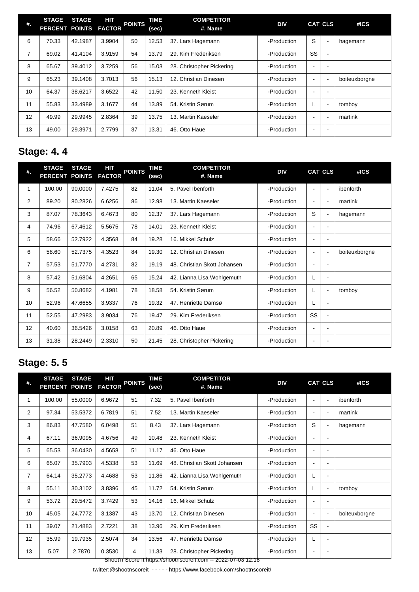| #.             | <b>STAGE</b><br>PERCENT POINTS FACTOR | <b>STAGE</b> | HIT    | <b>POINTS</b> | TIME<br>(sec) | <b>COMPETITOR</b><br>#. Name | <b>DIV</b>  |                          | <b>CAT CLS</b>           | #ICS          |
|----------------|---------------------------------------|--------------|--------|---------------|---------------|------------------------------|-------------|--------------------------|--------------------------|---------------|
| 6              | 70.33                                 | 42.1987      | 3.9904 | 50            | 12.53         | 37. Lars Hagemann            | -Production | S                        | $\sim$                   | hagemann      |
| $\overline{7}$ | 69.02                                 | 41.4104      | 3.9159 | 54            | 13.79         | 29. Kim Frederiksen          | -Production | SS                       | $\overline{\phantom{a}}$ |               |
| 8              | 65.67                                 | 39.4012      | 3.7259 | 56            | 15.03         | 28. Christopher Pickering    | -Production |                          | <b>.</b>                 |               |
| 9              | 65.23                                 | 39.1408      | 3.7013 | 56            | 15.13         | 12. Christian Dinesen        | -Production |                          | $\sim$                   | boiteuxborgne |
| 10             | 64.37                                 | 38.6217      | 3.6522 | 42            | 11.50         | 23. Kenneth Kleist           | -Production |                          | $\blacksquare$           |               |
| 11             | 55.83                                 | 33.4989      | 3.1677 | 44            | 13.89         | 54. Kristin Sørum            | -Production |                          | $\overline{\phantom{a}}$ | tomboy        |
| 12             | 49.99                                 | 29.9945      | 2.8364 | 39            | 13.75         | 13. Martin Kaeseler          | -Production |                          | ÷                        | martink       |
| 13             | 49.00                                 | 29.3971      | 2.7799 | 37            | 13.31         | 46. Otto Haue                | -Production | $\overline{\phantom{0}}$ |                          |               |

## **Stage: 4. 4**

| #.             | <b>STAGE</b><br><b>PERCENT</b> | <b>STAGE</b><br><b>POINTS</b> | HIT<br><b>FACTOR</b> | <b>POINTS</b> | <b>TIME</b><br>(sec) | <b>COMPETITOR</b><br>#. Name | <b>DIV</b>  |                          | <b>CAT CLS</b>               | #ICS          |
|----------------|--------------------------------|-------------------------------|----------------------|---------------|----------------------|------------------------------|-------------|--------------------------|------------------------------|---------------|
| 1              | 100.00                         | 90.0000                       | 7.4275               | 82            | 11.04                | 5. Pavel Ibenforth           | -Production | $\blacksquare$           | $\blacksquare$               | ibenforth     |
| 2              | 89.20                          | 80.2826                       | 6.6256               | 86            | 12.98                | 13. Martin Kaeseler          | -Production | $\blacksquare$           | $\blacksquare$               | martink       |
| 3              | 87.07                          | 78.3643                       | 6.4673               | 80            | 12.37                | 37. Lars Hagemann            | -Production | S                        | $\blacksquare$               | hagemann      |
| 4              | 74.96                          | 67.4612                       | 5.5675               | 78            | 14.01                | 23. Kenneth Kleist           | -Production | ٠                        | $\blacksquare$               |               |
| 5              | 58.66                          | 52.7922                       | 4.3568               | 84            | 19.28                | 16. Mikkel Schulz            | -Production | $\overline{\phantom{a}}$ | $\qquad \qquad \blacksquare$ |               |
| 6              | 58.60                          | 52.7375                       | 4.3523               | 84            | 19.30                | 12. Christian Dinesen        | -Production | $\blacksquare$           | $\blacksquare$               | boiteuxborgne |
| $\overline{7}$ | 57.53                          | 51.7770                       | 4.2731               | 82            | 19.19                | 48. Christian Skott Johansen | -Production |                          | ۰                            |               |
| 8              | 57.42                          | 51.6804                       | 4.2651               | 65            | 15.24                | 42. Lianna Lisa Wohlgemuth   | -Production | L                        | ۰                            |               |
| 9              | 56.52                          | 50.8682                       | 4.1981               | 78            | 18.58                | 54. Kristin Sørum            | -Production | L                        | $\overline{\phantom{a}}$     | tomboy        |
| 10             | 52.96                          | 47.6655                       | 3.9337               | 76            | 19.32                | 47. Henriette Damsø          | -Production | L                        |                              |               |
| 11             | 52.55                          | 47.2983                       | 3.9034               | 76            | 19.47                | 29. Kim Frederiksen          | -Production | SS                       | ۰                            |               |
| 12             | 40.60                          | 36.5426                       | 3.0158               | 63            | 20.89                | 46. Otto Haue                | -Production | ۰                        | ۰                            |               |
| 13             | 31.38                          | 28.2449                       | 2.3310               | 50            | 21.45                | 28. Christopher Pickering    | -Production | $\overline{\phantom{0}}$ |                              |               |

## **Stage: 5. 5**

| <b>STAGE</b><br><b>PERCENT</b> | <b>STAGE</b><br><b>POINTS</b> | HIT<br><b>FACTOR</b> |    | <b>TIME</b><br>(sec) | <b>COMPETITOR</b><br>#. Name | <b>DIV</b>  |                                                                |                          | #ICS           |
|--------------------------------|-------------------------------|----------------------|----|----------------------|------------------------------|-------------|----------------------------------------------------------------|--------------------------|----------------|
| 100.00                         | 55.0000                       | 6.9672               | 51 | 7.32                 | 5. Pavel Ibenforth           | -Production | $\overline{\phantom{a}}$                                       | $\mathbf{r}$             | ibenforth      |
| 97.34                          | 53.5372                       | 6.7819               | 51 | 7.52                 | 13. Martin Kaeseler          | -Production | $\overline{\phantom{a}}$                                       | $\blacksquare$           | martink        |
| 86.83                          | 47.7580                       | 6.0498               | 51 | 8.43                 | 37. Lars Hagemann            | -Production | S                                                              | $\blacksquare$           | hagemann       |
| 67.11                          | 36.9095                       | 4.6756               | 49 | 10.48                | 23. Kenneth Kleist           | -Production | $\blacksquare$                                                 | $\blacksquare$           |                |
| 65.53                          | 36.0430                       | 4.5658               | 51 | 11.17                | 46. Otto Haue                | -Production | $\blacksquare$                                                 |                          |                |
| 65.07                          | 35.7903                       | 4.5338               | 53 | 11.69                | 48. Christian Skott Johansen | -Production | $\blacksquare$                                                 |                          |                |
| 64.14                          | 35.2773                       | 4.4688               | 53 | 11.86                | 42. Lianna Lisa Wohlgemuth   | -Production |                                                                | $\blacksquare$           |                |
| 55.11                          | 30.3102                       | 3.8396               | 45 | 11.72                | 54. Kristin Sørum            | -Production | L                                                              | $\blacksquare$           | tomboy         |
| 53.72                          | 29.5472                       | 3.7429               | 53 | 14.16                | 16. Mikkel Schulz            | -Production | $\blacksquare$                                                 | ۰                        |                |
| 45.05                          | 24.7772                       | 3.1387               | 43 | 13.70                | 12. Christian Dinesen        | -Production | $\blacksquare$                                                 | $\overline{\phantom{a}}$ | boiteuxborgne  |
| 39.07                          | 21.4883                       | 2.7221               | 38 | 13.96                | 29. Kim Frederiksen          | -Production | SS                                                             | $\blacksquare$           |                |
| 35.99                          | 19.7935                       | 2.5074               | 34 | 13.56                | 47. Henriette Damsø          | -Production | L                                                              | $\overline{\phantom{a}}$ |                |
| 5.07                           | 2.7870                        | 0.3530               | 4  | 11.33                | 28. Christopher Pickering    | -Production | $\blacksquare$                                                 | $\overline{\phantom{a}}$ |                |
|                                |                               |                      |    |                      | <b>POINTS</b>                |             | Shoot'n Score It https://shootnscoreit.com -- 2022-07-03 12:18 |                          | <b>CAT CLS</b> |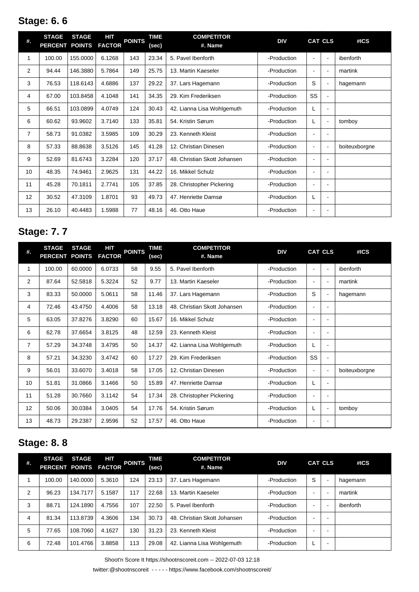## **Stage: 6. 6**

| #. | <b>STAGE</b><br><b>PERCENT</b> | <b>STAGE</b><br><b>POINTS</b> | HIT<br><b>FACTOR</b> | <b>POINTS</b> | <b>TIME</b><br>(sec) | <b>COMPETITOR</b><br>#. Name | <b>DIV</b>  |                | <b>CAT CLS</b>           | #ICS          |
|----|--------------------------------|-------------------------------|----------------------|---------------|----------------------|------------------------------|-------------|----------------|--------------------------|---------------|
| 1  | 100.00                         | 155.0000                      | 6.1268               | 143           | 23.34                | 5. Pavel Ibenforth           | -Production |                | $\blacksquare$           | ibenforth     |
| 2  | 94.44                          | 146.3880                      | 5.7864               | 149           | 25.75                | 13. Martin Kaeseler          | -Production | $\blacksquare$ | $\overline{a}$           | martink       |
| 3  | 76.53                          | 118.6143                      | 4.6886               | 137           | 29.22                | 37. Lars Hagemann            | -Production | S              | $\overline{\phantom{a}}$ | hagemann      |
| 4  | 67.00                          | 103.8458                      | 4.1048               | 141           | 34.35                | 29. Kim Frederiksen          | -Production | SS             | $\blacksquare$           |               |
| 5  | 66.51                          | 103.0899                      | 4.0749               | 124           | 30.43                | 42. Lianna Lisa Wohlgemuth   | -Production | L              | $\blacksquare$           |               |
| 6  | 60.62                          | 93.9602                       | 3.7140               | 133           | 35.81                | 54. Kristin Sørum            | -Production | L              | $\blacksquare$           | tomboy        |
| 7  | 58.73                          | 91.0382                       | 3.5985               | 109           | 30.29                | 23. Kenneth Kleist           | -Production | $\blacksquare$ |                          |               |
| 8  | 57.33                          | 88.8638                       | 3.5126               | 145           | 41.28                | 12. Christian Dinesen        | -Production | $\blacksquare$ | $\blacksquare$           | boiteuxborgne |
| 9  | 52.69                          | 81.6743                       | 3.2284               | 120           | 37.17                | 48. Christian Skott Johansen | -Production | $\blacksquare$ | $\blacksquare$           |               |
| 10 | 48.35                          | 74.9461                       | 2.9625               | 131           | 44.22                | 16. Mikkel Schulz            | -Production | $\blacksquare$ | $\blacksquare$           |               |
| 11 | 45.28                          | 70.1811                       | 2.7741               | 105           | 37.85                | 28. Christopher Pickering    | -Production | $\blacksquare$ |                          |               |
| 12 | 30.52                          | 47.3109                       | 1.8701               | 93            | 49.73                | 47. Henriette Damsø          | -Production | L              | $\blacksquare$           |               |
| 13 | 26.10                          | 40.4483                       | 1.5988               | 77            | 48.16                | 46. Otto Haue                | -Production | $\blacksquare$ |                          |               |

## **Stage: 7. 7**

| #. | <b>STAGE</b><br><b>PERCENT</b> | <b>STAGE</b><br><b>POINTS</b> | HIT<br><b>FACTOR</b> | <b>POINTS</b> | <b>TIME</b><br>(sec) | <b>COMPETITOR</b><br>#. Name | <b>DIV</b>  |                          | <b>CAT CLS</b>           | #ICS          |
|----|--------------------------------|-------------------------------|----------------------|---------------|----------------------|------------------------------|-------------|--------------------------|--------------------------|---------------|
| 1  | 100.00                         | 60.0000                       | 6.0733               | 58            | 9.55                 | 5. Pavel Ibenforth           | -Production | $\blacksquare$           | $\blacksquare$           | ibenforth     |
| 2  | 87.64                          | 52.5818                       | 5.3224               | 52            | 9.77                 | 13. Martin Kaeseler          | -Production | $\blacksquare$           | $\blacksquare$           | martink       |
| 3  | 83.33                          | 50.0000                       | 5.0611               | 58            | 11.46                | 37. Lars Hagemann            | -Production | S                        | $\blacksquare$           | hagemann      |
| 4  | 72.46                          | 43.4750                       | 4.4006               | 58            | 13.18                | 48. Christian Skott Johansen | -Production | $\blacksquare$           |                          |               |
| 5  | 63.05                          | 37.8276                       | 3.8290               | 60            | 15.67                | 16. Mikkel Schulz            | -Production | $\overline{\phantom{a}}$ |                          |               |
| 6  | 62.78                          | 37.6654                       | 3.8125               | 48            | 12.59                | 23. Kenneth Kleist           | -Production | $\blacksquare$           |                          |               |
| 7  | 57.29                          | 34.3748                       | 3.4795               | 50            | 14.37                | 42. Lianna Lisa Wohlgemuth   | -Production | L                        |                          |               |
| 8  | 57.21                          | 34.3230                       | 3.4742               | 60            | 17.27                | 29. Kim Frederiksen          | -Production | SS                       | $\blacksquare$           |               |
| 9  | 56.01                          | 33.6070                       | 3.4018               | 58            | 17.05                | 12. Christian Dinesen        | -Production | $\blacksquare$           | $\blacksquare$           | boiteuxborgne |
| 10 | 51.81                          | 31.0866                       | 3.1466               | 50            | 15.89                | 47. Henriette Damsø          | -Production | L                        |                          |               |
| 11 | 51.28                          | 30.7660                       | 3.1142               | 54            | 17.34                | 28. Christopher Pickering    | -Production | $\blacksquare$           |                          |               |
| 12 | 50.06                          | 30.0384                       | 3.0405               | 54            | 17.76                | 54. Kristin Sørum            | -Production | L                        | $\blacksquare$           | tomboy        |
| 13 | 48.73                          | 29.2387                       | 2.9596               | 52            | 17.57                | 46. Otto Haue                | -Production | $\blacksquare$           | $\overline{\phantom{a}}$ |               |

## **Stage: 8. 8**

| #. | <b>STAGE</b><br>PERCENT POINTS FACTOR | <b>STAGE</b> | HIT    | <b>POINTS</b> | TIME<br>(sec) | <b>COMPETITOR</b><br>#. Name | <b>DIV</b>  |                          | <b>CAT CLS</b> | #ICS      |
|----|---------------------------------------|--------------|--------|---------------|---------------|------------------------------|-------------|--------------------------|----------------|-----------|
|    | 100.00                                | 140.0000     | 5.3610 | 124           | 23.13         | 37. Lars Hagemann            | -Production | S                        | $\blacksquare$ | hagemann  |
| 2  | 96.23                                 | 134.7177     | 5.1587 | 117           | 22.68         | 13. Martin Kaeseler          | -Production | -                        |                | martink   |
| 3  | 88.71                                 | 124.1890     | 4.7556 | 107           | 22.50         | 5. Pavel Ibenforth           | -Production | $\overline{\phantom{0}}$ |                | ibenforth |
| 4  | 81.34                                 | 113.8739     | 4.3606 | 134           | 30.73         | 48. Christian Skott Johansen | -Production | -                        |                |           |
| 5  | 77.65                                 | 108.7060     | 4.1627 | 130           | 31.23         | 23. Kenneth Kleist           | -Production | $\overline{\phantom{0}}$ | -              |           |
| 6  | 72.48                                 | 101.4766     | 3.8858 | 113           | 29.08         | 42. Lianna Lisa Wohlgemuth   | -Production | ┗                        |                |           |

Shoot'n Score It https://shootnscoreit.com -- 2022-07-03 12:18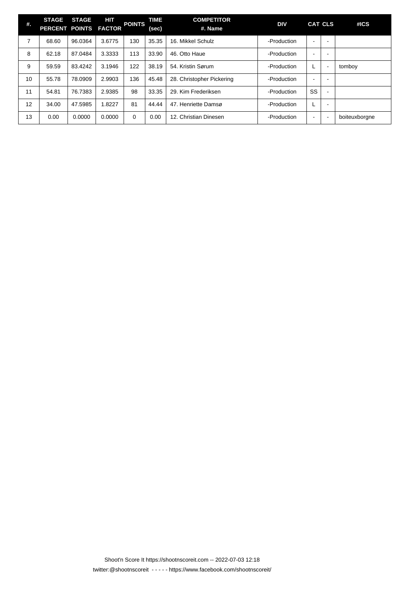| #. | <b>STAGE</b><br>PERCENT POINTS FACTOR | <b>STAGE</b> | HIT    | <b>POINTS</b> | TIME<br>(sec) | <b>COMPETITOR</b><br>#. Name | <b>DIV</b>  |                          | <b>CAT CLS</b>           | #ICS          |
|----|---------------------------------------|--------------|--------|---------------|---------------|------------------------------|-------------|--------------------------|--------------------------|---------------|
| 7  | 68.60                                 | 96.0364      | 3.6775 | 130           | 35.35         | 16. Mikkel Schulz            | -Production | $\overline{\phantom{a}}$ | -                        |               |
| 8  | 62.18                                 | 87.0484      | 3.3333 | 113           | 33.90         | 46. Otto Haue                | -Production |                          | <b>.</b>                 |               |
| 9  | 59.59                                 | 83.4242      | 3.1946 | 122           | 38.19         | 54. Kristin Sørum            | -Production | L                        | $\overline{\phantom{a}}$ | tomboy        |
| 10 | 55.78                                 | 78.0909      | 2.9903 | 136           | 45.48         | 28. Christopher Pickering    | -Production | $\overline{\phantom{0}}$ | <b>.</b>                 |               |
| 11 | 54.81                                 | 76.7383      | 2.9385 | 98            | 33.35         | 29. Kim Frederiksen          | -Production | SS                       | $\blacksquare$           |               |
| 12 | 34.00                                 | 47.5985      | 1.8227 | 81            | 44.44         | 47. Henriette Damsø          | -Production | L                        | <b>.</b>                 |               |
| 13 | 0.00                                  | 0.0000       | 0.0000 | $\Omega$      | 0.00          | 12. Christian Dinesen        | -Production | $\overline{\phantom{0}}$ | $\blacksquare$           | boiteuxborgne |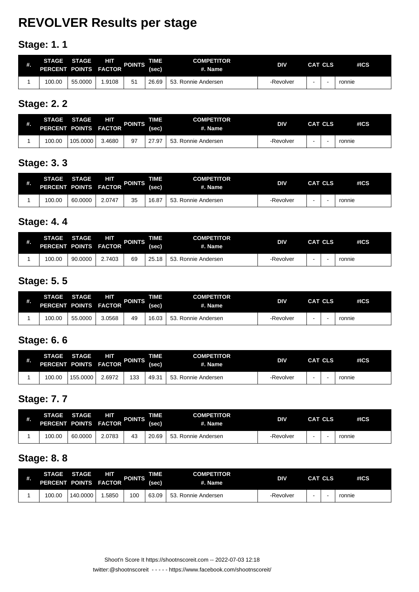# **REVOLVER Results per stage**

## **Stage: 1. 1**

| #. | <b>STAGE</b><br>PERCENT POINTS FACTOR | <b>STAGE</b> | ΗП    | <b>POINTS</b> | TIME.<br>(sec) | <b>COMPETITOR</b><br>#. Name | <b>DIV</b> | <b>CAT CLS</b> | #ICS   |
|----|---------------------------------------|--------------|-------|---------------|----------------|------------------------------|------------|----------------|--------|
|    | 100.00                                | 55.0000      | .9108 | 51            | 26.69          | 53. Ronnie Andersen          | -Revolver  |                | ronnie |

#### **Stage: 2. 2**

| 批. | <b>STAGE</b><br>PERCENT POINTS FACTOR | <b>STAGE</b> | НΠ     | <b>POINTS</b> | TIME<br>(sec) | <b>COMPETITOR</b><br>#. Name | <b>DIV</b> | <b>CAT CLS</b> | #ICS   |
|----|---------------------------------------|--------------|--------|---------------|---------------|------------------------------|------------|----------------|--------|
|    | 100.00                                | 105.0000     | 3.4680 | 97            | 27.97         | 53. Ronnie Andersen          | -Revolver  |                | ronnie |

#### **Stage: 3. 3**

| #. | <b>STAGE</b><br>PERCENT POINTS FACTOR | <b>STAGE</b> | ΗП     | <b>POINTS</b> | TIME.<br>(sec) | <b>COMPETITOR</b><br>#. Name | <b>DIV</b> | <b>CAT CLS</b> | #ICS   |
|----|---------------------------------------|--------------|--------|---------------|----------------|------------------------------|------------|----------------|--------|
|    | 100.00                                | 60.0000      | 2.0747 | 35            | 16.87          | 53. Ronnie Andersen          | -Revolver  |                | ronnie |

### **Stage: 4. 4**

| #. | <b>STAGE</b><br>PERCENT POINTS FACTOR | <b>STAGE</b> | ΗП     | <b>POINTS</b> | TIME.<br>(sec) | <b>COMPETITOR</b><br>#. Name | <b>DIV</b> | CAT CLS | #ICS   |
|----|---------------------------------------|--------------|--------|---------------|----------------|------------------------------|------------|---------|--------|
|    | 100.00                                | 90.0000      | 2.7403 | 69            | 25.18          | 53. Ronnie Andersen          | -Revolver  |         | ronnie |

## **Stage: 5. 5**

| #. | <b>STAGE</b><br><b>PERCENT</b> | <b>STAGE</b> | HП<br>POINTS FACTOR | <b>POINTS</b> | <b>TIME</b><br>(sec) | <b>COMPETITOR</b><br>#. Name | <b>DIV</b> | <b>CAT CLS</b> | #ICS   |
|----|--------------------------------|--------------|---------------------|---------------|----------------------|------------------------------|------------|----------------|--------|
|    | 100.00                         | 55.0000      | 3.0568              | 49            | 16.03                | 53.<br>Ronnie Andersen       | -Revolver  |                | ronnie |

### **Stage: 6. 6**

| #. | <b>STAGE</b><br>PERCENT POINTS FACTOR | <b>STAGE</b> | HП     | <b>POINTS</b> | TIME.<br>(sec) | <b>COMPETITOR</b><br>#. Name | <b>DIV</b> | <b>CAT CLS</b> | #ICS   |
|----|---------------------------------------|--------------|--------|---------------|----------------|------------------------------|------------|----------------|--------|
|    | 100.00                                | 155.0000     | 2.6972 | 133           | 49.31          | 53. Ronnie Andersen          | -Revolver  |                | ronnie |

### **Stage: 7. 7**

| #. | <b>STAGE</b><br>PERCENT POINTS FACTOR | <b>STAGE</b> | HП     | <b>POINTS</b> | TIME.<br>(sec) | <b>COMPETITOR</b><br>#. Name | <b>DIV</b> | <b>CAT CLS</b> | #ICS   |
|----|---------------------------------------|--------------|--------|---------------|----------------|------------------------------|------------|----------------|--------|
|    | 100.00                                | 60.0000      | 2.0783 | 43            | 20.69          | 53.<br>. Ronnie Andersen     | -Revolver  |                | ronnie |

#### **Stage: 8. 8**

| #. | <b>STAGE</b><br><b>PERCENT</b> | <b>STAGE</b> | ÆП<br>POINTS FACTOR | <b>POINTS</b> | TIME<br>(sec) | <b>COMPETITOR</b><br>#. Name | <b>DIV</b> | <b>CAT CLS</b> | #ICS   |
|----|--------------------------------|--------------|---------------------|---------------|---------------|------------------------------|------------|----------------|--------|
|    | 100.00                         | 140.0000     | .5850               | 100           | 63.09         | 53. Ronnie Andersen          | -Revolver  |                | ronnie |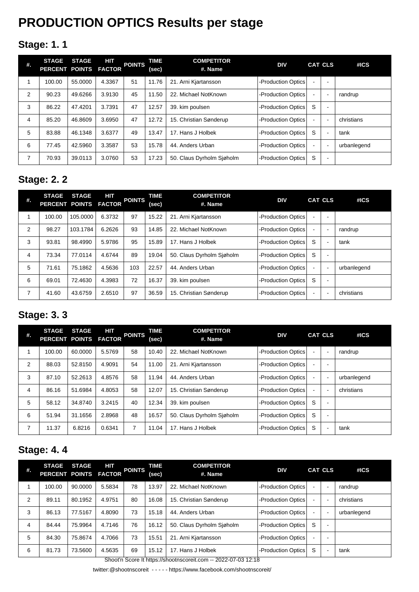# **PRODUCTION OPTICS Results per stage**

## **Stage: 1. 1**

| #.             | <b>STAGE</b><br>PERCENT POINTS FACTOR | <b>STAGE</b> | HIT    | <b>POINTS</b> | TIME<br>(sec) | <b>COMPETITOR</b><br>#. Name | <b>DIV</b>         |                | <b>CAT CLS</b>           | #ICS        |
|----------------|---------------------------------------|--------------|--------|---------------|---------------|------------------------------|--------------------|----------------|--------------------------|-------------|
|                | 100.00                                | 55.0000      | 4.3367 | 51            | 11.76         | 21. Arni Kjartansson         | -Production Optics |                |                          |             |
| $\overline{2}$ | 90.23                                 | 49.6266      | 3.9130 | 45            | 11.50         | 22. Michael NotKnown         | -Production Optics |                | $\blacksquare$           | randrup     |
| 3              | 86.22                                 | 47.4201      | 3.7391 | 47            | 12.57         | 39. kim poulsen              | -Production Optics | S              | $\overline{\phantom{0}}$ |             |
| 4              | 85.20                                 | 46.8609      | 3.6950 | 47            | 12.72         | 15. Christian Sønderup       | -Production Optics |                | $\blacksquare$           | christians  |
| 5              | 83.88                                 | 46.1348      | 3.6377 | 49            | 13.47         | 17. Hans J Holbek            | -Production Optics | S              | $\blacksquare$           | tank        |
| 6              | 77.45                                 | 42.5960      | 3.3587 | 53            | 15.78         | 44. Anders Urban             | -Production Optics | $\blacksquare$ | $\blacksquare$           | urbanlegend |
| 7              | 70.93                                 | 39.0113      | 3.0760 | 53            | 17.23         | 50. Claus Dyrholm Siøholm    | -Production Optics | S              | $\blacksquare$           |             |

#### **Stage: 2. 2**

| #.             | <b>STAGE</b><br>PERCENT POINTS FACTOR | <b>STAGE</b> | HІТ    | <b>POINTS</b> | TIME<br>(sec) | <b>COMPETITOR</b><br>#. Name | <b>DIV</b>         |                | <b>CAT CLS</b>           | #ICS        |
|----------------|---------------------------------------|--------------|--------|---------------|---------------|------------------------------|--------------------|----------------|--------------------------|-------------|
|                | 100.00                                | 105.0000     | 6.3732 | 97            | 15.22         | 21. Arni Kjartansson         | -Production Optics |                |                          |             |
| 2              | 98.27                                 | 103.1784     | 6.2626 | 93            | 14.85         | 22. Michael NotKnown         | -Production Optics |                | $\blacksquare$           | randrup     |
| 3              | 93.81                                 | 98.4990      | 5.9786 | 95            | 15.89         | 17. Hans J Holbek            | -Production Optics | S              | $\overline{\phantom{a}}$ | tank        |
| 4              | 73.34                                 | 77.0114      | 4.6744 | 89            | 19.04         | 50. Claus Dyrholm Siøholm    | -Production Optics | S              | $\overline{\phantom{a}}$ |             |
| 5              | 71.61                                 | 75.1862      | 4.5636 | 103           | 22.57         | 44. Anders Urban             | -Production Optics |                | $\blacksquare$           | urbanlegend |
| 6              | 69.01                                 | 72.4630      | 4.3983 | 72            | 16.37         | 39. kim poulsen              | -Production Optics | S              | $\overline{\phantom{a}}$ |             |
| $\overline{ }$ | 41.60                                 | 43.6759      | 2.6510 | 97            | 36.59         | 15. Christian Sønderup       | -Production Optics | $\blacksquare$ | $\overline{\phantom{a}}$ | christians  |

### **Stage: 3. 3**

| #. | <b>STAGE</b><br>PERCENT POINTS FACTOR | <b>STAGE</b> | ATT T  | <b>POINTS</b> | TIME<br>(sec) | <b>COMPETITOR</b><br>#. Name | <b>DIV</b>         |                | <b>CAT CLS</b>           | #ICS        |
|----|---------------------------------------|--------------|--------|---------------|---------------|------------------------------|--------------------|----------------|--------------------------|-------------|
|    | 100.00                                | 60.0000      | 5.5769 | 58            | 10.40         | 22. Michael NotKnown         | -Production Optics |                | $\overline{\phantom{a}}$ | randrup     |
| 2  | 88.03                                 | 52.8150      | 4.9091 | 54            | 11.00         | 21. Arni Kjartansson         | -Production Optics |                | -                        |             |
| 3  | 87.10                                 | 52.2613      | 4.8576 | 58            | 11.94         | 44. Anders Urban             | -Production Optics | $\blacksquare$ | $\blacksquare$           | urbanlegend |
| 4  | 86.16                                 | 51.6984      | 4.8053 | 58            | 12.07         | 15. Christian Sønderup       | -Production Optics |                | $\overline{\phantom{0}}$ | christians  |
| 5  | 58.12                                 | 34.8740      | 3.2415 | 40            | 12.34         | 39. kim poulsen              | -Production Optics | S              | $\overline{\phantom{a}}$ |             |
| 6  | 51.94                                 | 31.1656      | 2.8968 | 48            | 16.57         | 50. Claus Dyrholm Siøholm    | -Production Optics | S              | $\blacksquare$           |             |
| 7  | 11.37                                 | 6.8216       | 0.6341 |               | 11.04         | 17. Hans J Holbek            | -Production Optics | S              | $\overline{\phantom{a}}$ | tank        |

#### **Stage: 4. 4**

| #. | <b>STAGE</b><br>PERCENT POINTS FACTOR | <b>STAGE</b> | HIT    | <b>POINTS</b> | TIME<br>(sec) | <b>COMPETITOR</b><br>#. Name                                                                                             | <b>DIV</b>         |                          | <b>CAT CLS</b>           | #ICS        |
|----|---------------------------------------|--------------|--------|---------------|---------------|--------------------------------------------------------------------------------------------------------------------------|--------------------|--------------------------|--------------------------|-------------|
|    | 100.00                                | 90.0000      | 5.5834 | 78            | 13.97         | 22. Michael NotKnown                                                                                                     | -Production Optics |                          | <b>.</b>                 | randrup     |
| 2  | 89.11                                 | 80.1952      | 4.9751 | 80            | 16.08         | 15. Christian Sønderup                                                                                                   | -Production Optics |                          | $\overline{\phantom{a}}$ | christians  |
| 3  | 86.13                                 | 77.5167      | 4.8090 | 73            | 15.18         | 44. Anders Urban                                                                                                         | -Production Optics | $\overline{\phantom{a}}$ | $\sim$                   | urbanlegend |
| 4  | 84.44                                 | 75.9964      | 4.7146 | 76            | 16.12         | 50. Claus Dyrholm Sjøholm                                                                                                | -Production Optics | S                        | <b>.</b>                 |             |
| 5  | 84.30                                 | 75.8674      | 4.7066 | 73            | 15.51         | 21. Arni Kjartansson                                                                                                     | -Production Optics |                          | -                        |             |
| 6  | 81.73                                 | 73.5600      | 4.5635 | 69            | 15.12         | 17. Hans J Holbek<br>$\Omega$ and $\Omega$ and $\Omega$ is the set of $\Omega$ and $\Omega$ and $\Omega$<br>000007001010 | -Production Optics | S                        | <b>.</b>                 | tank        |

Shoot'n Score It https://shootnscoreit.com -- 2022-07-03 12:18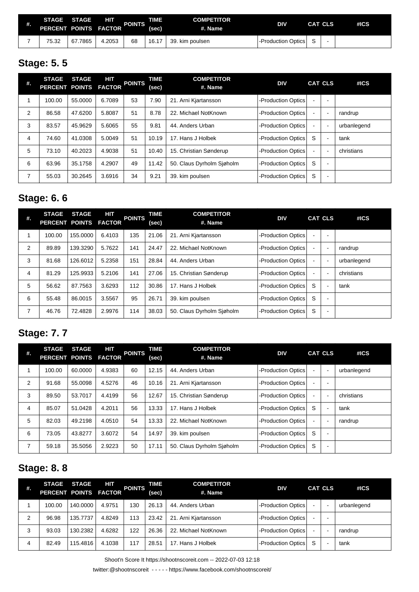| #. | <b>STAGE</b><br>PERCENT POINTS FACTOR | <b>STAGE</b> | НΠ     | <b>POINTS</b> | TIME<br>(sec | <b>COMPETITOR</b><br>#. Name | <b>DIV</b>         | <b>CAT CLS</b> | #ICS |
|----|---------------------------------------|--------------|--------|---------------|--------------|------------------------------|--------------------|----------------|------|
|    | 75.32                                 | 67.7865      | 4.2053 | 68            | 16.17        | 39.<br>. kim poulsen         | -Production Optics |                |      |

## **Stage: 5. 5**

| #. | <b>STAGE</b><br>PERCENT POINTS FACTOR | <b>STAGE</b> | HІТ    | <b>POINTS</b> | TIME<br>(sec) | <b>COMPETITOR</b><br>#. Name | <b>DIV</b>         |                          | <b>CAT CLS</b>           | #ICS        |
|----|---------------------------------------|--------------|--------|---------------|---------------|------------------------------|--------------------|--------------------------|--------------------------|-------------|
|    | 100.00                                | 55,0000      | 6.7089 | 53            | 7.90          | 21. Arni Kjartansson         | -Production Optics |                          | ٠                        |             |
| 2  | 86.58                                 | 47.6200      | 5.8087 | 51            | 8.78          | 22. Michael NotKnown         | -Production Optics |                          | $\overline{\phantom{0}}$ | randrup     |
| 3  | 83.57                                 | 45.9629      | 5.6065 | 55            | 9.81          | 44. Anders Urban             | -Production Optics |                          | ÷                        | urbanlegend |
| 4  | 74.60                                 | 41.0308      | 5.0049 | 51            | 10.19         | 17. Hans J Holbek            | -Production Optics | S                        |                          | tank        |
| 5  | 73.10                                 | 40.2023      | 4.9038 | 51            | 10.40         | 15. Christian Sønderup       | -Production Optics | $\overline{\phantom{a}}$ | -                        | christians  |
| 6  | 63.96                                 | 35.1758      | 4.2907 | 49            | 11.42         | 50. Claus Dyrholm Siøholm    | -Production Optics | S                        | $\sim$                   |             |
| 7  | 55.03                                 | 30.2645      | 3.6916 | 34            | 9.21          | 39. kim poulsen              | -Production Optics | S                        | ٠                        |             |

## **Stage: 6. 6**

| #.             | <b>STAGE</b><br>PERCENT POINTS FACTOR | <b>STAGE</b> | HІТ    | <b>POINTS</b> | TIME<br>(sec) | <b>COMPETITOR</b><br>#. Name | <b>DIV</b>         |        | <b>CAT CLS</b>           | #ICS        |
|----------------|---------------------------------------|--------------|--------|---------------|---------------|------------------------------|--------------------|--------|--------------------------|-------------|
|                | 100.00                                | 155.0000     | 6.4103 | 135           | 21.06         | 21. Arni Kjartansson         | -Production Optics |        |                          |             |
| $\overline{2}$ | 89.89                                 | 139.3290     | 5.7622 | 141           | 24.47         | 22. Michael NotKnown         | -Production Optics |        | $\blacksquare$           | randrup     |
| 3              | 81.68                                 | 126.6012     | 5.2358 | 151           | 28.84         | 44. Anders Urban             | -Production Optics | $\sim$ | $\blacksquare$           | urbanlegend |
| $\overline{4}$ | 81.29                                 | 125.9933     | 5.2106 | 141           | 27.06         | 15. Christian Sønderup       | -Production Optics |        | ٠                        | christians  |
| 5              | 56.62                                 | 87.7563      | 3.6293 | 112           | 30.86         | 17. Hans J Holbek            | -Production Optics | S      | ۰                        | tank        |
| 6              | 55.48                                 | 86.0015      | 3.5567 | 95            | 26.71         | 39. kim poulsen              | -Production Optics | S      | -                        |             |
| 7              | 46.76                                 | 72.4828      | 2.9976 | 114           | 38.03         | 50. Claus Dyrholm Siøholm    | -Production Optics | S      | $\overline{\phantom{a}}$ |             |

## **Stage: 7. 7**

| #. | <b>STAGE</b><br>PERCENT POINTS FACTOR | <b>STAGE</b> | HIT    | <b>POINTS</b> | TIME<br>(sec) | <b>COMPETITOR</b><br>#. Name | <b>DIV</b>         |                | <b>CAT CLS</b>           | #ICS        |
|----|---------------------------------------|--------------|--------|---------------|---------------|------------------------------|--------------------|----------------|--------------------------|-------------|
|    | 100.00                                | 60.0000      | 4.9383 | 60            | 12.15         | 44. Anders Urban             | -Production Optics | $\blacksquare$ | $\blacksquare$           | urbanlegend |
| 2  | 91.68                                 | 55.0098      | 4.5276 | 46            | 10.16         | 21. Arni Kjartansson         | -Production Optics |                |                          |             |
| 3  | 89.50                                 | 53.7017      | 4.4199 | 56            | 12.67         | 15. Christian Sønderup       | -Production Optics |                | ۰                        | christians  |
| 4  | 85.07                                 | 51.0428      | 4.2011 | 56            | 13.33         | 17. Hans J Holbek            | -Production Optics | S              | ۰                        | tank        |
| 5  | 82.03                                 | 49.2198      | 4.0510 | 54            | 13.33         | 22. Michael NotKnown         | -Production Optics |                |                          | randrup     |
| 6  | 73.05                                 | 43.8277      | 3.6072 | 54            | 14.97         | 39. kim poulsen              | -Production Optics | S              | $\overline{\phantom{0}}$ |             |
| 7  | 59.18                                 | 35.5056      | 2.9223 | 50            | 17.11         | 50. Claus Dyrholm Siøholm    | -Production Optics | S              | $\blacksquare$           |             |

## **Stage: 8. 8**

| #. | <b>STAGE</b><br>PERCENT POINTS FACTOR | <b>STAGE</b> | HIT    | <b>POINTS</b> | TIME<br>(sec) | <b>COMPETITOR</b><br>#. Name | <b>DIV</b>         |   | <b>CAT CLS</b>           | #ICS        |
|----|---------------------------------------|--------------|--------|---------------|---------------|------------------------------|--------------------|---|--------------------------|-------------|
|    | 100.00                                | 140.0000     | 4.9751 | 130           | 26.13         | 44. Anders Urban             | -Production Optics |   | $\overline{\phantom{a}}$ | urbanlegend |
| 2  | 96.98                                 | 135.7737     | 4.8249 | 113           | 23.42         | 21. Arni Kjartansson         | -Production Optics |   |                          |             |
| 3  | 93.03                                 | 130.2382     | 4.6282 | 122           | 26.36         | 22. Michael NotKnown         | -Production Optics |   | $\overline{\phantom{0}}$ | randrup     |
| 4  | 82.49                                 | 115.4816     | 4.1038 | 117           | 28.51         | 17. Hans J Holbek            | -Production Optics | S | ٠                        | tank        |

Shoot'n Score It https://shootnscoreit.com -- 2022-07-03 12:18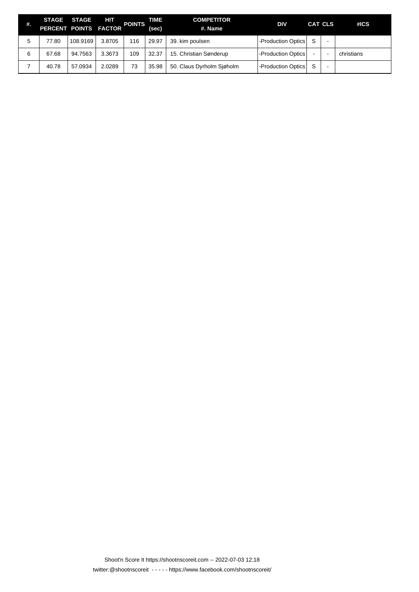| #. | <b>STAGE STAGE</b><br>PERCENT POINTS FACTOR |          | HIT    | <b>POINTS</b> | TIME.<br>(sec) | <b>COMPETITOR</b><br>#. Name | <b>DIV</b>         |   | CAT CLS                  | #ICS       |
|----|---------------------------------------------|----------|--------|---------------|----------------|------------------------------|--------------------|---|--------------------------|------------|
| 5  | 77.80                                       | 108.9169 | 3.8705 | 116           | 29.97          | 39. kim poulsen              | -Production Optics | S | -                        |            |
| 6  | 67.68                                       | 94.7563  | 3.3673 | 109           | 32.37          | 15. Christian Sønderup       | -Production Optics |   | $\overline{\phantom{0}}$ | christians |
|    | 40.78                                       | 57.0934  | 2.0289 | 73            | 35.98          | 50. Claus Dyrholm Siøholm    | -Production Optics | S |                          |            |